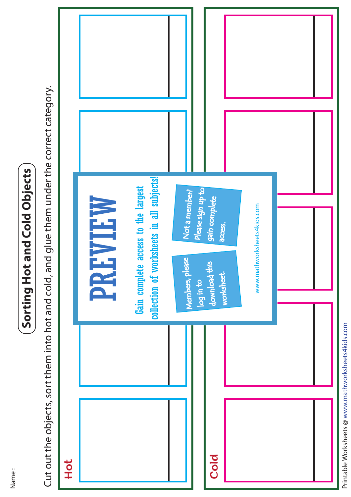Name :

## Sorting Hot and Cold Objects **Sorting Hot and Cold Objects**

Cut out the objects, sort them into hot and cold, and glue them under the correct category. Cut out the objects, sort them into hot and cold, and glue them under the correct category.



Printable Worksheets @ www.mathworksheets4kids.com Printable Worksheets @ www.mathworksheets4kids.com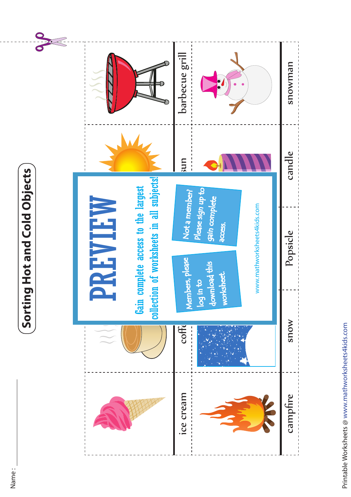## Sorting Hot and Cold Objects **Sorting Hot and Cold Objects**

O.io